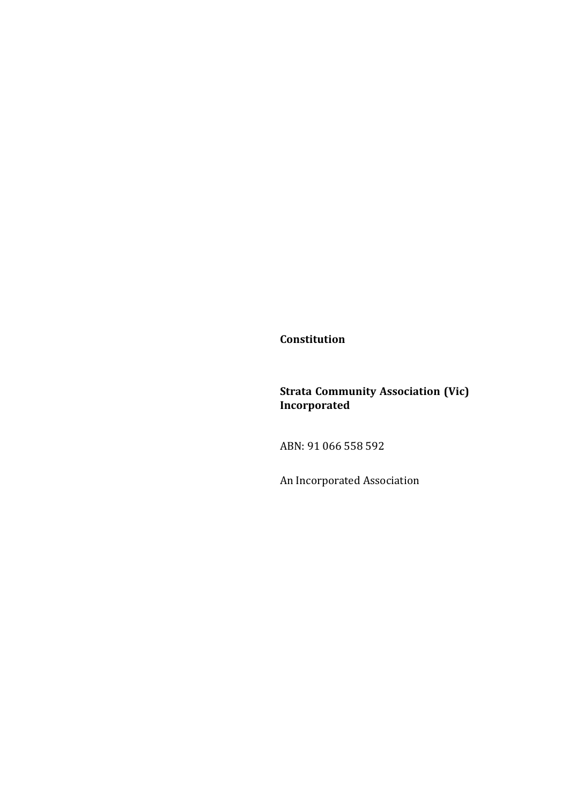**Constitution**

# **Strata Community Association (Vic) Incorporated**

ABN: 91 066 558 592

An Incorporated Association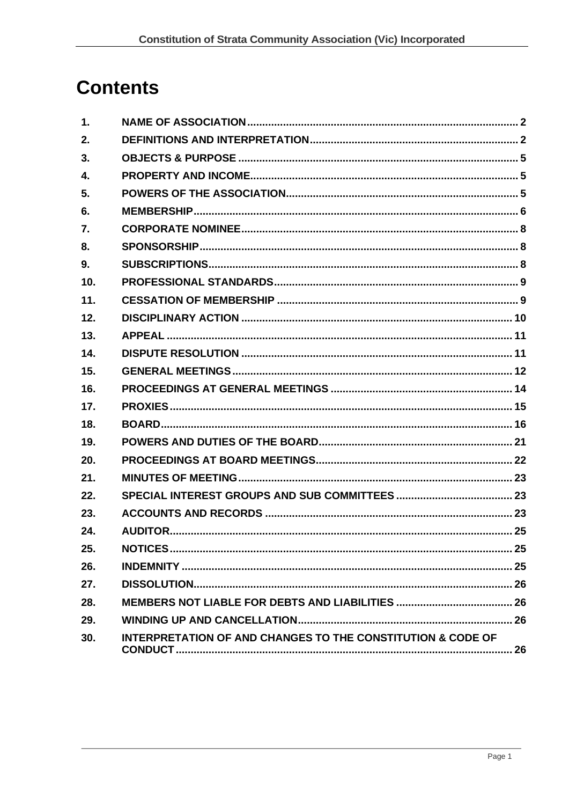# **Contents**

| 1.  |                                                                        |  |
|-----|------------------------------------------------------------------------|--|
| 2.  |                                                                        |  |
| 3.  |                                                                        |  |
| 4.  |                                                                        |  |
| 5.  |                                                                        |  |
| 6.  |                                                                        |  |
| 7.  |                                                                        |  |
| 8.  |                                                                        |  |
| 9.  |                                                                        |  |
| 10. |                                                                        |  |
| 11. |                                                                        |  |
| 12. |                                                                        |  |
| 13. |                                                                        |  |
| 14. |                                                                        |  |
| 15. |                                                                        |  |
| 16. |                                                                        |  |
| 17. |                                                                        |  |
| 18. |                                                                        |  |
| 19. |                                                                        |  |
| 20. |                                                                        |  |
| 21. |                                                                        |  |
| 22. |                                                                        |  |
| 23. |                                                                        |  |
| 24. |                                                                        |  |
| 25. |                                                                        |  |
| 26. |                                                                        |  |
| 27. |                                                                        |  |
| 28. |                                                                        |  |
| 29. |                                                                        |  |
| 30. | <b>INTERPRETATION OF AND CHANGES TO THE CONSTITUTION &amp; CODE OF</b> |  |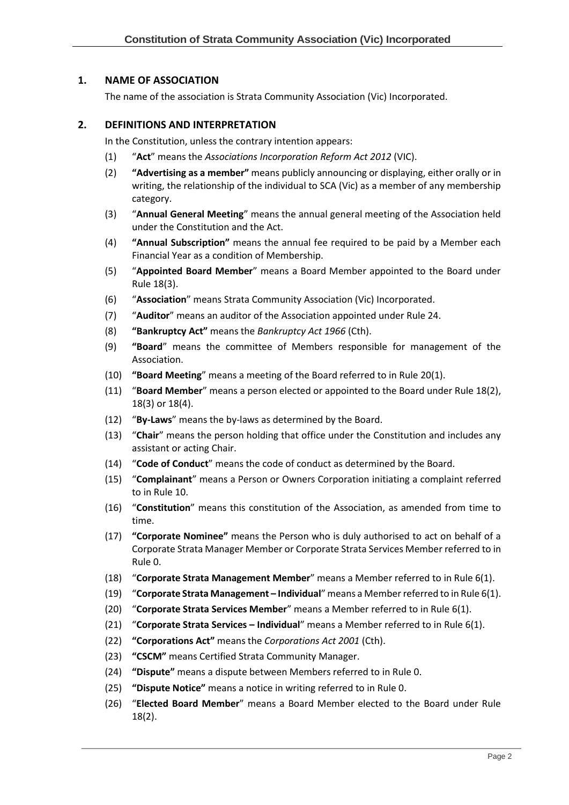# <span id="page-2-0"></span>**1. NAME OF ASSOCIATION**

The name of the association is Strata Community Association (Vic) Incorporated.

#### <span id="page-2-1"></span>**2. DEFINITIONS AND INTERPRETATION**

In the Constitution, unless the contrary intention appears:

- (1) "**Act**" means the *Associations Incorporation Reform Act 2012* (VIC).
- (2) **"Advertising as a member"** means publicly announcing or displaying, either orally or in writing, the relationship of the individual to SCA (Vic) as a member of any membership category.
- (3) "**Annual General Meeting**" means the annual general meeting of the Association held under the Constitution and the Act.
- (4) **"Annual Subscription"** means the annual fee required to be paid by a Member each Financial Year as a condition of Membership.
- (5) "**Appointed Board Member**" means a Board Member appointed to the Board under Rule [18\(3\).](#page-17-0)
- (6) "**Association**" means Strata Community Association (Vic) Incorporated.
- (7) "**Auditor**" means an auditor of the Association appointed under Rule [24.](#page-25-0)
- (8) **"Bankruptcy Act"** means the *Bankruptcy Act 1966* (Cth).
- (9) **"Board**" means the committee of Members responsible for management of the Association.
- (10) **"Board Meeting**" means a meeting of the Board referred to in Rule [20\(1\).](#page-22-1)
- (11) "**Board Member**" means a person elected or appointed to the Board under Rule [18\(2\),](#page-17-1)  [18\(3\)](#page-17-0) or [18\(4\).](#page-17-0)
- (12) "**By-Laws**" means the by-laws as determined by the Board.
- (13) "**Chair**" means the person holding that office under the Constitution and includes any assistant or acting Chair.
- (14) "**Code of Conduct**" means the code of conduct as determined by the Board.
- (15) "**Complainant**" means a Person or Owners Corporation initiating a complaint referred to in Rule [10.](#page-9-0)
- (16) "**Constitution**" means this constitution of the Association, as amended from time to time.
- (17) **"Corporate Nominee"** means the Person who is duly authorised to act on behalf of a Corporate Strata Manager Member or Corporate Strata Services Member referred to in Rul[e 0.](#page-6-1)
- (18) "**Corporate Strata Management Member**" means a Member referred to in Rul[e 6\(1\).](#page-6-2)
- (19) "**Corporate Strata Management – Individual**" means a Member referred to in Rul[e 6\(1\).](#page-6-2)
- (20) "**Corporate Strata Services Member**" means a Member referred to in Rule [6\(1\).](#page-6-2)
- (21) "**Corporate Strata Services – Individual**" means a Member referred to in Rule [6\(1\).](#page-6-3)
- (22) **"Corporations Act"** means the *Corporations Act 2001* (Cth).
- (23) **"CSCM"** means Certified Strata Community Manager.
- (24) **"Dispute"** means a dispute between Members referred to in Rule [0.](#page-11-1)
- (25) **"Dispute Notice"** means a notice in writing referred to in Rule [0.](#page-11-1)
- (26) "**Elected Board Member**" means a Board Member elected to the Board under Rule [18\(2\).](#page-17-1)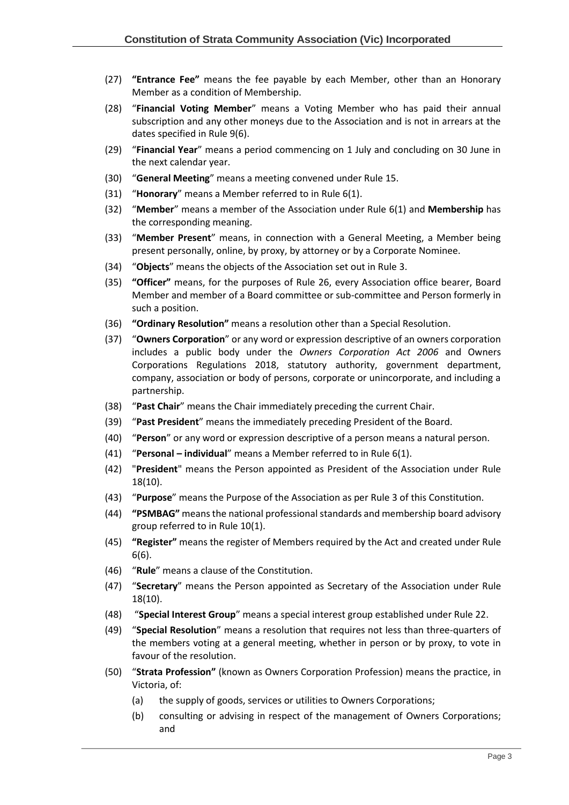- (27) **"Entrance Fee"** means the fee payable by each Member, other than an Honorary Member as a condition of Membership.
- (28) "**Financial Voting Member**" means a Voting Member who has paid their annual subscription and any other moneys due to the Association and is not in arrears at the dates specified in Rul[e 9\(6\).](#page-9-2)
- (29) "**Financial Year**" means a period commencing on 1 July and concluding on 30 June in the next calendar year.
- (30) "**General Meeting**" means a meeting convened under Rule [15.](#page-12-0)
- (31) "**Honorary**" means a Member referred to in Rul[e 6\(1\).](#page-6-2)
- (32) "**Member**" means a member of the Association under Rule [6\(1\)](#page-6-2) and **Membership** has the corresponding meaning.
- (33) "**Member Present**" means, in connection with a General Meeting, a Member being present personally, online, by proxy, by attorney or by a Corporate Nominee.
- (34) "**Objects**" means the objects of the Association set out in Rule [3.](#page-5-0)
- (35) **"Officer"** means, for the purposes of Rule [26,](#page-25-2) every Association office bearer, Board Member and member of a Board committee or sub-committee and Person formerly in such a position.
- (36) **"Ordinary Resolution"** means a resolution other than a Special Resolution.
- (37) "**Owners Corporation**" or any word or expression descriptive of an owners corporation includes a public body under the *Owners Corporation Act 2006* and Owners Corporations Regulations 2018, statutory authority, government department, company, association or body of persons, corporate or unincorporate, and including a partnership.
- (38) "**Past Chair**" means the Chair immediately preceding the current Chair.
- (39) "**Past President**" means the immediately preceding President of the Board.
- (40) "**Person**" or any word or expression descriptive of a person means a natural person.
- (41) "**Personal – individual**" means a Member referred to in Rule [6\(1\).](#page-6-2)
- (42) "**President**" means the Person appointed as President of the Association under Rule [18\(10\).](#page-19-0)
- (43) "**Purpose**" means the Purpose of the Association as per Rule 3 of this Constitution.
- (44) **"PSMBAG"** means the national professional standards and membership board advisory group referred to in Rul[e 10\(1\).](#page-9-3)
- (45) **"Register"** means the register of Members required by the Act and created under Rule [6\(6\).](#page-7-0)
- (46) "**Rule**" means a clause of the Constitution.
- (47) "**Secretary**" means the Person appointed as Secretary of the Association under Rule [18\(10\).](#page-19-0)
- (48) "**Special Interest Group**" means a special interest group established under Rule [22.](#page-23-1)
- (49) "**Special Resolution**" means a resolution that requires not less than three-quarters of the members voting at a general meeting, whether in person or by proxy, to vote in favour of the resolution.
- (50) "**Strata Profession"** (known as Owners Corporation Profession) means the practice, in Victoria, of:
	- (a) the supply of goods, services or utilities to Owners Corporations;
	- (b) consulting or advising in respect of the management of Owners Corporations; and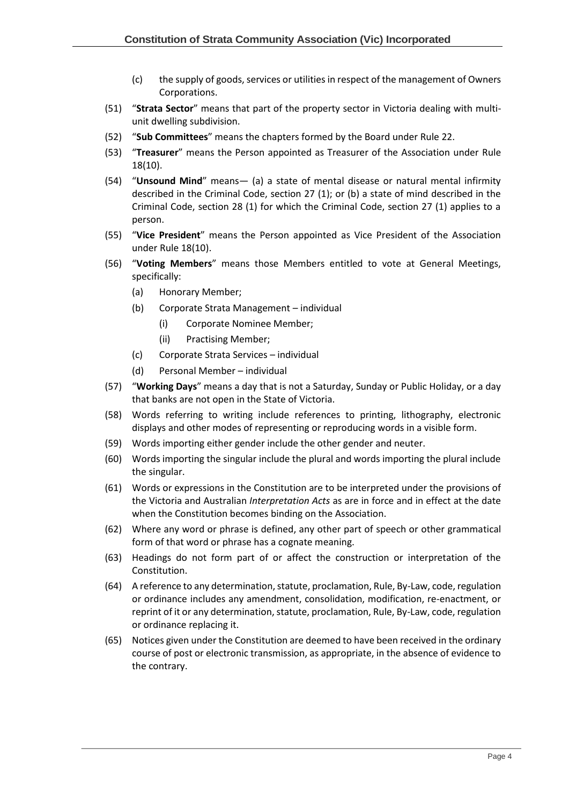- (c) the supply of goods, services or utilities in respect of the management of Owners Corporations.
- (51) "**Strata Sector**" means that part of the property sector in Victoria dealing with multiunit dwelling subdivision.
- (52) "**Sub Committees**" means the chapters formed by the Board under Rule [22.](#page-23-1)
- (53) "**Treasurer**" means the Person appointed as Treasurer of the Association under Rule [18\(10\).](#page-19-0)
- (54) "**Unsound Mind**" means— (a) a state of mental disease or natural mental infirmity described in the Criminal Code, section 27 (1); or (b) a state of mind described in the Criminal Code, section 28 (1) for which the Criminal Code, section 27 (1) applies to a person.
- (55) "**Vice President**" means the Person appointed as Vice President of the Association under Rule [18\(10\).](#page-19-0)
- (56) "**Voting Members**" means those Members entitled to vote at General Meetings, specifically:
	- (a) Honorary Member;
	- (b) Corporate Strata Management individual
		- (i) Corporate Nominee Member;
		- (ii) Practising Member;
	- (c) Corporate Strata Services individual
	- (d) Personal Member individual
- (57) "**Working Days**" means a day that is not a Saturday, Sunday or Public Holiday, or a day that banks are not open in the State of Victoria.
- (58) Words referring to writing include references to printing, lithography, electronic displays and other modes of representing or reproducing words in a visible form.
- (59) Words importing either gender include the other gender and neuter.
- (60) Words importing the singular include the plural and words importing the plural include the singular.
- (61) Words or expressions in the Constitution are to be interpreted under the provisions of the Victoria and Australian *Interpretation Acts* as are in force and in effect at the date when the Constitution becomes binding on the Association.
- (62) Where any word or phrase is defined, any other part of speech or other grammatical form of that word or phrase has a cognate meaning.
- (63) Headings do not form part of or affect the construction or interpretation of the Constitution.
- (64) A reference to any determination, statute, proclamation, Rule, By-Law, code, regulation or ordinance includes any amendment, consolidation, modification, re-enactment, or reprint of it or any determination, statute, proclamation, Rule, By-Law, code, regulation or ordinance replacing it.
- (65) Notices given under the Constitution are deemed to have been received in the ordinary course of post or electronic transmission, as appropriate, in the absence of evidence to the contrary.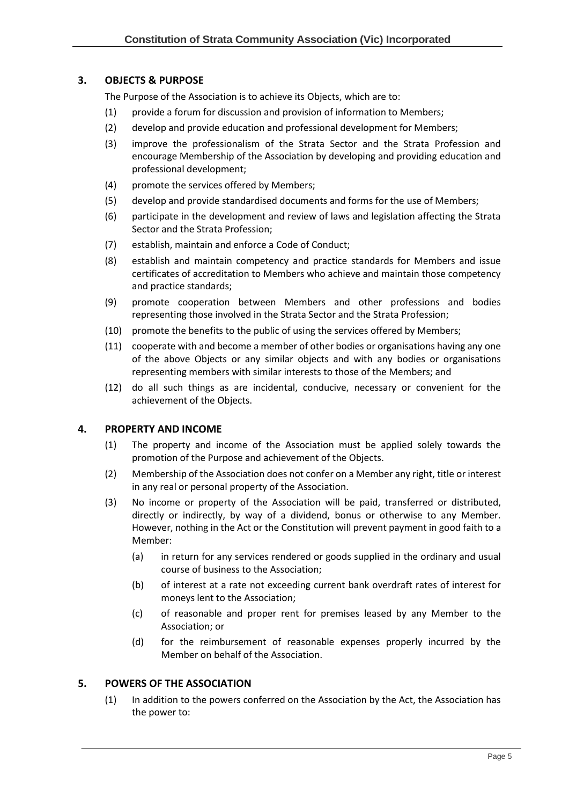# <span id="page-5-0"></span>**3. OBJECTS & PURPOSE**

The Purpose of the Association is to achieve its Objects, which are to:

- (1) provide a forum for discussion and provision of information to Members;
- (2) develop and provide education and professional development for Members;
- (3) improve the professionalism of the Strata Sector and the Strata Profession and encourage Membership of the Association by developing and providing education and professional development;
- (4) promote the services offered by Members;
- (5) develop and provide standardised documents and forms for the use of Members;
- (6) participate in the development and review of laws and legislation affecting the Strata Sector and the Strata Profession;
- (7) establish, maintain and enforce a Code of Conduct;
- (8) establish and maintain competency and practice standards for Members and issue certificates of accreditation to Members who achieve and maintain those competency and practice standards;
- (9) promote cooperation between Members and other professions and bodies representing those involved in the Strata Sector and the Strata Profession;
- (10) promote the benefits to the public of using the services offered by Members;
- (11) cooperate with and become a member of other bodies or organisations having any one of the above Objects or any similar objects and with any bodies or organisations representing members with similar interests to those of the Members; and
- (12) do all such things as are incidental, conducive, necessary or convenient for the achievement of the Objects.

#### <span id="page-5-1"></span>**4. PROPERTY AND INCOME**

- (1) The property and income of the Association must be applied solely towards the promotion of the Purpose and achievement of the Objects.
- (2) Membership of the Association does not confer on a Member any right, title or interest in any real or personal property of the Association.
- (3) No income or property of the Association will be paid, transferred or distributed, directly or indirectly, by way of a dividend, bonus or otherwise to any Member. However, nothing in the Act or the Constitution will prevent payment in good faith to a Member:
	- (a) in return for any services rendered or goods supplied in the ordinary and usual course of business to the Association;
	- (b) of interest at a rate not exceeding current bank overdraft rates of interest for moneys lent to the Association;
	- (c) of reasonable and proper rent for premises leased by any Member to the Association; or
	- (d) for the reimbursement of reasonable expenses properly incurred by the Member on behalf of the Association.

# <span id="page-5-2"></span>**5. POWERS OF THE ASSOCIATION**

(1) In addition to the powers conferred on the Association by the Act, the Association has the power to: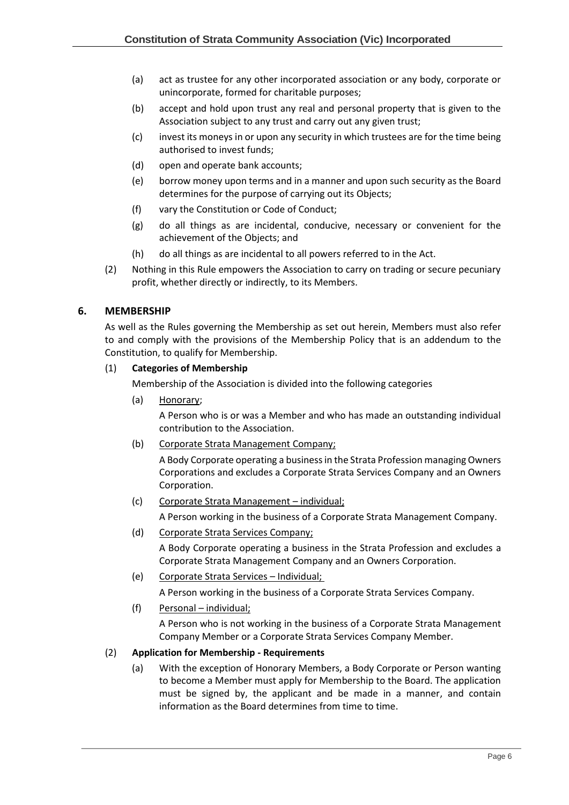- (a) act as trustee for any other incorporated association or any body, corporate or unincorporate, formed for charitable purposes;
- (b) accept and hold upon trust any real and personal property that is given to the Association subject to any trust and carry out any given trust;
- (c) invest its moneys in or upon any security in which trustees are for the time being authorised to invest funds;
- (d) open and operate bank accounts;
- (e) borrow money upon terms and in a manner and upon such security as the Board determines for the purpose of carrying out its Objects;
- (f) vary the Constitution or Code of Conduct;
- (g) do all things as are incidental, conducive, necessary or convenient for the achievement of the Objects; and
- (h) do all things as are incidental to all powers referred to in the Act.
- (2) Nothing in this Rule empowers the Association to carry on trading or secure pecuniary profit, whether directly or indirectly, to its Members.

# <span id="page-6-0"></span>**6. MEMBERSHIP**

As well as the Rules governing the Membership as set out herein, Members must also refer to and comply with the provisions of the Membership Policy that is an addendum to the Constitution, to qualify for Membership.

# <span id="page-6-3"></span>(1) **Categories of Membership**

<span id="page-6-2"></span>Membership of the Association is divided into the following categories

(a) Honorary;

A Person who is or was a Member and who has made an outstanding individual contribution to the Association.

(b) Corporate Strata Management Company;

A Body Corporate operating a business in the Strata Profession managing Owners Corporations and excludes a Corporate Strata Services Company and an Owners Corporation.

(c) Corporate Strata Management – individual;

A Person working in the business of a Corporate Strata Management Company.

(d) Corporate Strata Services Company;

A Body Corporate operating a business in the Strata Profession and excludes a Corporate Strata Management Company and an Owners Corporation.

- (e) Corporate Strata Services Individual; A Person working in the business of a Corporate Strata Services Company.
- (f) Personal individual;

A Person who is not working in the business of a Corporate Strata Management Company Member or a Corporate Strata Services Company Member.

# <span id="page-6-4"></span><span id="page-6-1"></span>(2) **Application for Membership - Requirements**

(a) With the exception of Honorary Members, a Body Corporate or Person wanting to become a Member must apply for Membership to the Board. The application must be signed by, the applicant and be made in a manner, and contain information as the Board determines from time to time.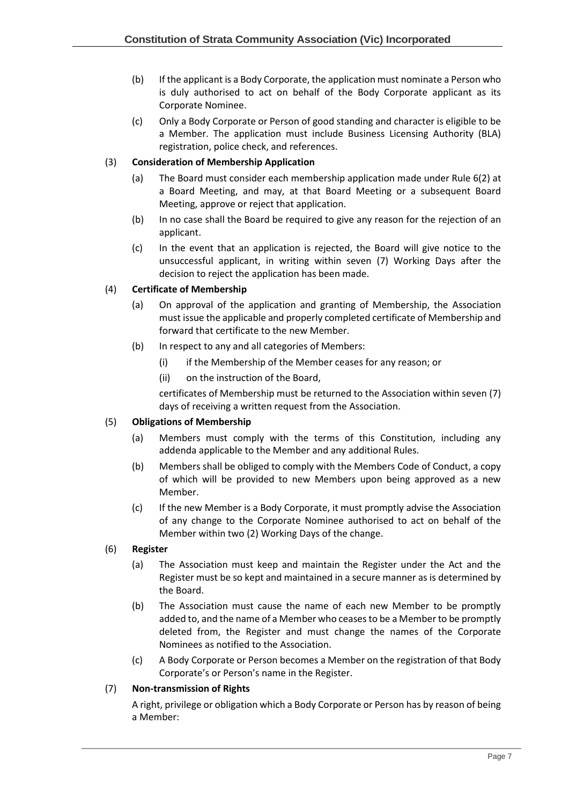- (b) If the applicant is a Body Corporate, the application must nominate a Person who is duly authorised to act on behalf of the Body Corporate applicant as its Corporate Nominee.
- (c) Only a Body Corporate or Person of good standing and character is eligible to be a Member. The application must include Business Licensing Authority (BLA) registration, police check, and references.

# (3) **Consideration of Membership Application**

- (a) The Board must consider each membership application made under Rule [6\(2\)](#page-6-4) at a Board Meeting, and may, at that Board Meeting or a subsequent Board Meeting, approve or reject that application.
- (b) In no case shall the Board be required to give any reason for the rejection of an applicant.
- (c) In the event that an application is rejected, the Board will give notice to the unsuccessful applicant, in writing within seven (7) Working Days after the decision to reject the application has been made.

# (4) **Certificate of Membership**

- (a) On approval of the application and granting of Membership, the Association must issue the applicable and properly completed certificate of Membership and forward that certificate to the new Member.
- (b) In respect to any and all categories of Members:
	- (i) if the Membership of the Member ceases for any reason; or
	- (ii) on the instruction of the Board,

certificates of Membership must be returned to the Association within seven (7) days of receiving a written request from the Association.

# (5) **Obligations of Membership**

- (a) Members must comply with the terms of this Constitution, including any addenda applicable to the Member and any additional Rules.
- (b) Members shall be obliged to comply with the Members Code of Conduct, a copy of which will be provided to new Members upon being approved as a new Member.
- (c) If the new Member is a Body Corporate, it must promptly advise the Association of any change to the Corporate Nominee authorised to act on behalf of the Member within two (2) Working Days of the change.

# <span id="page-7-0"></span>(6) **Register**

- (a) The Association must keep and maintain the Register under the Act and the Register must be so kept and maintained in a secure manner as is determined by the Board.
- (b) The Association must cause the name of each new Member to be promptly added to, and the name of a Member who ceases to be a Member to be promptly deleted from, the Register and must change the names of the Corporate Nominees as notified to the Association.
- (c) A Body Corporate or Person becomes a Member on the registration of that Body Corporate's or Person's name in the Register.

# (7) **Non-transmission of Rights**

A right, privilege or obligation which a Body Corporate or Person has by reason of being a Member: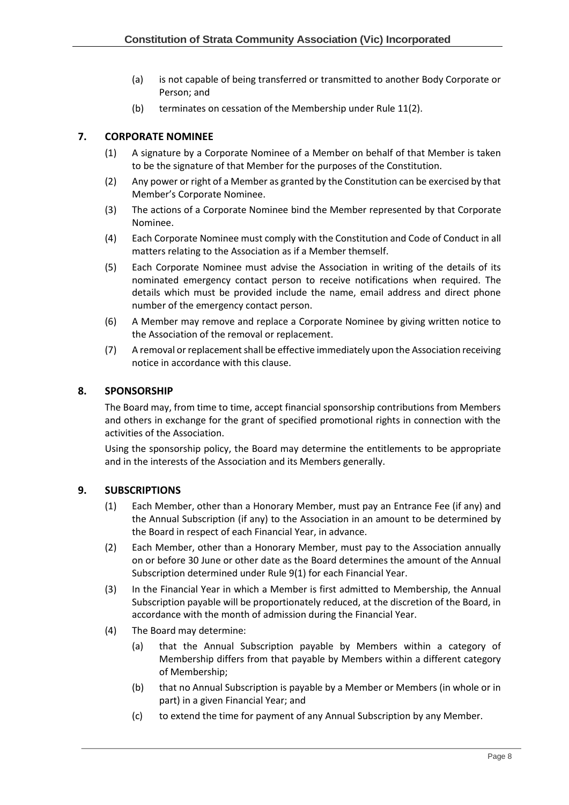- (a) is not capable of being transferred or transmitted to another Body Corporate or Person; and
- (b) terminates on cessation of the Membership under Rule [11\(2\).](#page-10-1)

# <span id="page-8-0"></span>**7. CORPORATE NOMINEE**

- (1) A signature by a Corporate Nominee of a Member on behalf of that Member is taken to be the signature of that Member for the purposes of the Constitution.
- (2) Any power or right of a Member as granted by the Constitution can be exercised by that Member's Corporate Nominee.
- (3) The actions of a Corporate Nominee bind the Member represented by that Corporate Nominee.
- (4) Each Corporate Nominee must comply with the Constitution and Code of Conduct in all matters relating to the Association as if a Member themself.
- (5) Each Corporate Nominee must advise the Association in writing of the details of its nominated emergency contact person to receive notifications when required. The details which must be provided include the name, email address and direct phone number of the emergency contact person.
- (6) A Member may remove and replace a Corporate Nominee by giving written notice to the Association of the removal or replacement.
- (7) A removal or replacement shall be effective immediately upon the Association receiving notice in accordance with this clause.

# <span id="page-8-1"></span>**8. SPONSORSHIP**

The Board may, from time to time, accept financial sponsorship contributions from Members and others in exchange for the grant of specified promotional rights in connection with the activities of the Association.

Using the sponsorship policy, the Board may determine the entitlements to be appropriate and in the interests of the Association and its Members generally.

#### <span id="page-8-3"></span><span id="page-8-2"></span>**9. SUBSCRIPTIONS**

- (1) Each Member, other than a Honorary Member, must pay an Entrance Fee (if any) and the Annual Subscription (if any) to the Association in an amount to be determined by the Board in respect of each Financial Year, in advance.
- (2) Each Member, other than a Honorary Member, must pay to the Association annually on or before 30 June or other date as the Board determines the amount of the Annual Subscription determined under Rule [9\(1\)](#page-8-3) for each Financial Year.
- (3) In the Financial Year in which a Member is first admitted to Membership, the Annual Subscription payable will be proportionately reduced, at the discretion of the Board, in accordance with the month of admission during the Financial Year.
- (4) The Board may determine:
	- (a) that the Annual Subscription payable by Members within a category of Membership differs from that payable by Members within a different category of Membership;
	- (b) that no Annual Subscription is payable by a Member or Members (in whole or in part) in a given Financial Year; and
	- (c) to extend the time for payment of any Annual Subscription by any Member.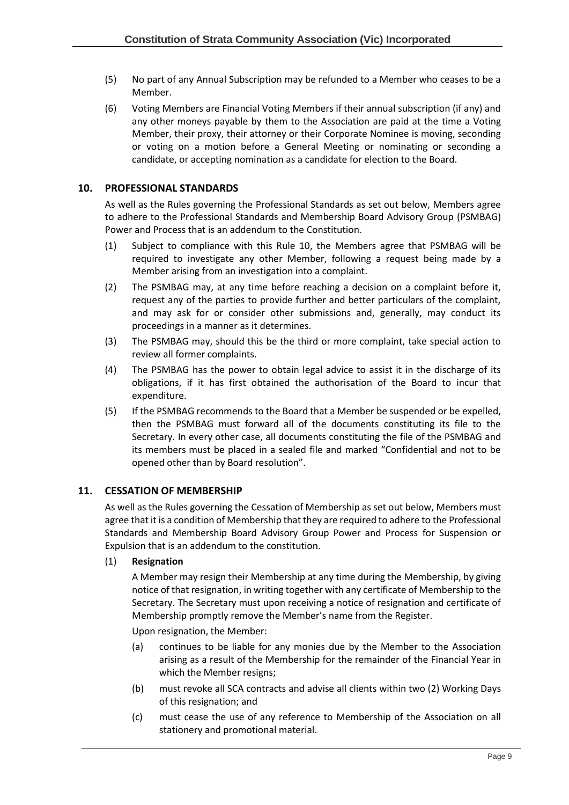- (5) No part of any Annual Subscription may be refunded to a Member who ceases to be a Member.
- <span id="page-9-2"></span>(6) Voting Members are Financial Voting Members if their annual subscription (if any) and any other moneys payable by them to the Association are paid at the time a Voting Member, their proxy, their attorney or their Corporate Nominee is moving, seconding or voting on a motion before a General Meeting or nominating or seconding a candidate, or accepting nomination as a candidate for election to the Board.

# <span id="page-9-0"></span>**10. PROFESSIONAL STANDARDS**

As well as the Rules governing the Professional Standards as set out below, Members agree to adhere to the Professional Standards and Membership Board Advisory Group (PSMBAG) Power and Process that is an addendum to the Constitution.

- <span id="page-9-3"></span>(1) Subject to compliance with this Rule [10,](#page-9-0) the Members agree that PSMBAG will be required to investigate any other Member, following a request being made by a Member arising from an investigation into a complaint.
- (2) The PSMBAG may, at any time before reaching a decision on a complaint before it, request any of the parties to provide further and better particulars of the complaint, and may ask for or consider other submissions and, generally, may conduct its proceedings in a manner as it determines.
- (3) The PSMBAG may, should this be the third or more complaint, take special action to review all former complaints.
- (4) The PSMBAG has the power to obtain legal advice to assist it in the discharge of its obligations, if it has first obtained the authorisation of the Board to incur that expenditure.
- (5) If the PSMBAG recommends to the Board that a Member be suspended or be expelled, then the PSMBAG must forward all of the documents constituting its file to the Secretary. In every other case, all documents constituting the file of the PSMBAG and its members must be placed in a sealed file and marked "Confidential and not to be opened other than by Board resolution".

#### <span id="page-9-1"></span>**11. CESSATION OF MEMBERSHIP**

As well as the Rules governing the Cessation of Membership as set out below, Members must agree that it is a condition of Membership that they are required to adhere to the Professional Standards and Membership Board Advisory Group Power and Process for Suspension or Expulsion that is an addendum to the constitution.

(1) **Resignation**

A Member may resign their Membership at any time during the Membership, by giving notice of that resignation, in writing together with any certificate of Membership to the Secretary. The Secretary must upon receiving a notice of resignation and certificate of Membership promptly remove the Member's name from the Register.

Upon resignation, the Member:

- (a) continues to be liable for any monies due by the Member to the Association arising as a result of the Membership for the remainder of the Financial Year in which the Member resigns;
- (b) must revoke all SCA contracts and advise all clients within two (2) Working Days of this resignation; and
- (c) must cease the use of any reference to Membership of the Association on all stationery and promotional material.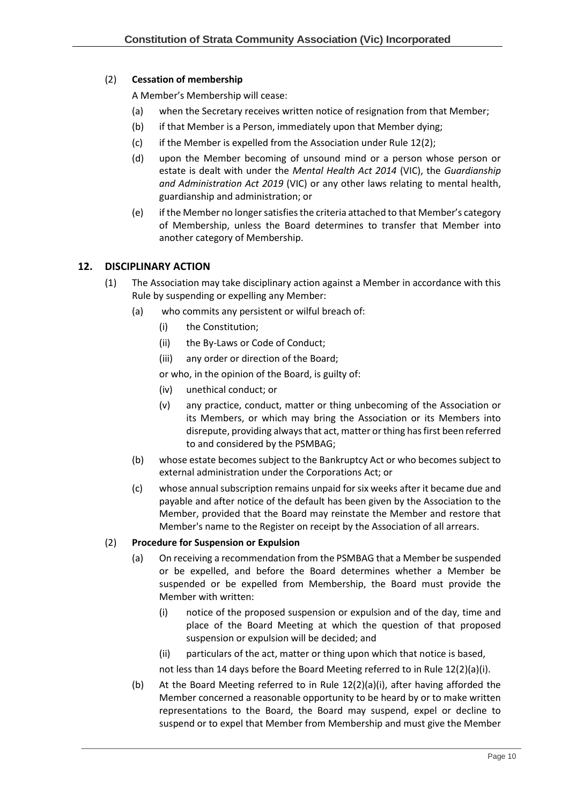# <span id="page-10-1"></span>(2) **Cessation of membership**

A Member's Membership will cease:

- (a) when the Secretary receives written notice of resignation from that Member;
- (b) if that Member is a Person, immediately upon that Member dying;
- (c) if the Member is expelled from the Association under Rule 12(2);
- (d) upon the Member becoming of unsound mind or a person whose person or estate is dealt with under the *Mental Health Act 2014* (VIC), the *Guardianship and Administration Act 2019* (VIC) or any other laws relating to mental health, guardianship and administration; or
- (e) if the Member no longer satisfies the criteria attached to that Member's category of Membership, unless the Board determines to transfer that Member into another category of Membership.

# <span id="page-10-0"></span>**12. DISCIPLINARY ACTION**

- (1) The Association may take disciplinary action against a Member in accordance with this Rule by suspending or expelling any Member:
	- (a) who commits any persistent or wilful breach of:
		- (i) the Constitution;
		- (ii) the By-Laws or Code of Conduct;
		- (iii) any order or direction of the Board;

or who, in the opinion of the Board, is guilty of:

- (iv) unethical conduct; or
- (v) any practice, conduct, matter or thing unbecoming of the Association or its Members, or which may bring the Association or its Members into disrepute, providing always that act, matter or thing has first been referred to and considered by the PSMBAG;
- (b) whose estate becomes subject to the Bankruptcy Act or who becomes subject to external administration under the Corporations Act; or
- (c) whose annual subscription remains unpaid for six weeks after it became due and payable and after notice of the default has been given by the Association to the Member, provided that the Board may reinstate the Member and restore that Member's name to the Register on receipt by the Association of all arrears.

#### (2) **Procedure for Suspension or Expulsion**

- (a) On receiving a recommendation from the PSMBAG that a Member be suspended or be expelled, and before the Board determines whether a Member be suspended or be expelled from Membership, the Board must provide the Member with written:
	- (i) notice of the proposed suspension or expulsion and of the day, time and place of the Board Meeting at which the question of that proposed suspension or expulsion will be decided; and
	- (ii) particulars of the act, matter or thing upon which that notice is based,
	- not less than 14 days before the Board Meeting referred to in Rule 12(2)(a)(i).
- (b) At the Board Meeting referred to in Rule 12(2)(a)(i), after having afforded the Member concerned a reasonable opportunity to be heard by or to make written representations to the Board, the Board may suspend, expel or decline to suspend or to expel that Member from Membership and must give the Member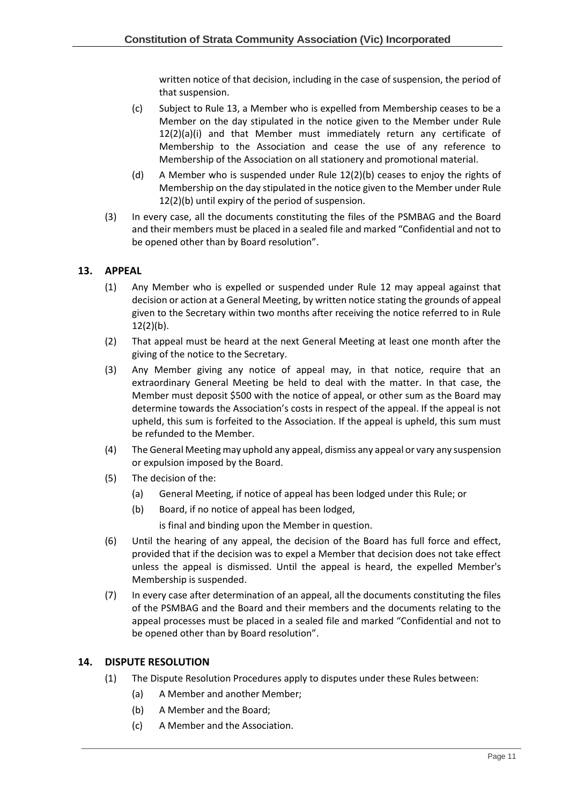written notice of that decision, including in the case of suspension, the period of that suspension.

- (c) Subject to Rule 13, a Member who is expelled from Membership ceases to be a Member on the day stipulated in the notice given to the Member under Rule 12(2)(a)(i) and that Member must immediately return any certificate of Membership to the Association and cease the use of any reference to Membership of the Association on all stationery and promotional material.
- (d) A Member who is suspended under Rule 12(2)(b) ceases to enjoy the rights of Membership on the day stipulated in the notice given to the Member under Rule 12(2)(b) until expiry of the period of suspension.
- (3) In every case, all the documents constituting the files of the PSMBAG and the Board and their members must be placed in a sealed file and marked "Confidential and not to be opened other than by Board resolution".

# <span id="page-11-0"></span>**13. APPEAL**

- (1) Any Member who is expelled or suspended under Rule 12 may appeal against that decision or action at a General Meeting, by written notice stating the grounds of appeal given to the Secretary within two months after receiving the notice referred to in Rule  $12(2)(b)$ .
- (2) That appeal must be heard at the next General Meeting at least one month after the giving of the notice to the Secretary.
- (3) Any Member giving any notice of appeal may, in that notice, require that an extraordinary General Meeting be held to deal with the matter. In that case, the Member must deposit \$500 with the notice of appeal, or other sum as the Board may determine towards the Association's costs in respect of the appeal. If the appeal is not upheld, this sum is forfeited to the Association. If the appeal is upheld, this sum must be refunded to the Member.
- (4) The General Meeting may uphold any appeal, dismiss any appeal or vary any suspension or expulsion imposed by the Board.
- (5) The decision of the:
	- (a) General Meeting, if notice of appeal has been lodged under this Rule; or
	- (b) Board, if no notice of appeal has been lodged,

is final and binding upon the Member in question.

- (6) Until the hearing of any appeal, the decision of the Board has full force and effect, provided that if the decision was to expel a Member that decision does not take effect unless the appeal is dismissed. Until the appeal is heard, the expelled Member's Membership is suspended.
- (7) In every case after determination of an appeal, all the documents constituting the files of the PSMBAG and the Board and their members and the documents relating to the appeal processes must be placed in a sealed file and marked "Confidential and not to be opened other than by Board resolution".

# <span id="page-11-1"></span>**14. DISPUTE RESOLUTION**

- (1) The Dispute Resolution Procedures apply to disputes under these Rules between:
	- (a) A Member and another Member;
	- (b) A Member and the Board;
	- (c) A Member and the Association.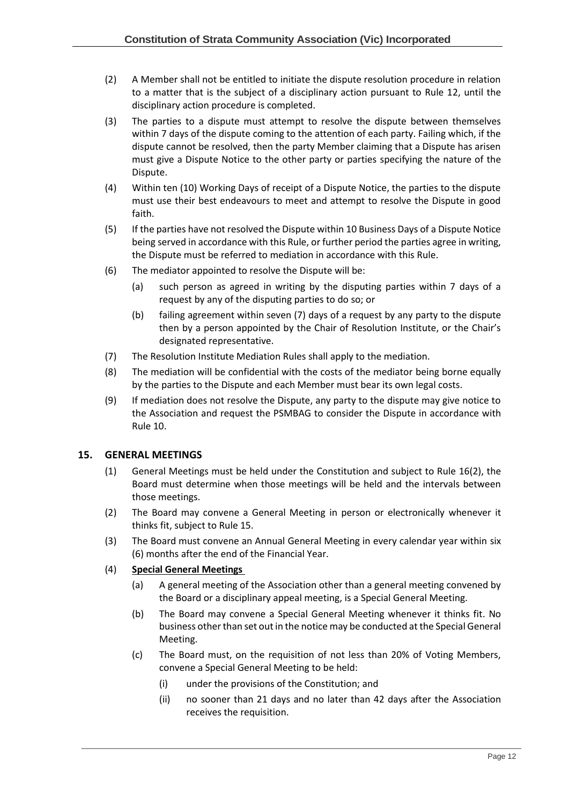- (2) A Member shall not be entitled to initiate the dispute resolution procedure in relation to a matter that is the subject of a disciplinary action pursuant to Rule 12, until the disciplinary action procedure is completed.
- (3) The parties to a dispute must attempt to resolve the dispute between themselves within 7 days of the dispute coming to the attention of each party. Failing which, if the dispute cannot be resolved, then the party Member claiming that a Dispute has arisen must give a Dispute Notice to the other party or parties specifying the nature of the Dispute.
- (4) Within ten (10) Working Days of receipt of a Dispute Notice, the parties to the dispute must use their best endeavours to meet and attempt to resolve the Dispute in good faith.
- (5) If the parties have not resolved the Dispute within 10 Business Days of a Dispute Notice being served in accordance with this Rule, or further period the parties agree in writing, the Dispute must be referred to mediation in accordance with this Rule.
- (6) The mediator appointed to resolve the Dispute will be:
	- (a) such person as agreed in writing by the disputing parties within 7 days of a request by any of the disputing parties to do so; or
	- (b) failing agreement within seven (7) days of a request by any party to the dispute then by a person appointed by the Chair of Resolution Institute, or the Chair's designated representative.
- (7) The Resolution Institute Mediation Rules shall apply to the mediation.
- (8) The mediation will be confidential with the costs of the mediator being borne equally by the parties to the Dispute and each Member must bear its own legal costs.
- (9) If mediation does not resolve the Dispute, any party to the dispute may give notice to the Association and request the PSMBAG to consider the Dispute in accordance with Rul[e 10.](#page-9-0)

# <span id="page-12-0"></span>**15. GENERAL MEETINGS**

- (1) General Meetings must be held under the Constitution and subject to Rule [16\(2\),](#page-14-1) the Board must determine when those meetings will be held and the intervals between those meetings.
- (2) The Board may convene a General Meeting in person or electronically whenever it thinks fit, subject to Rul[e 15.](#page-12-0)
- (3) The Board must convene an Annual General Meeting in every calendar year within six (6) months after the end of the Financial Year.
- <span id="page-12-4"></span><span id="page-12-3"></span><span id="page-12-2"></span><span id="page-12-1"></span>(4) **Special General Meetings** 
	- (a) A general meeting of the Association other than a general meeting convened by the Board or a disciplinary appeal meeting, is a Special General Meeting.
	- (b) The Board may convene a Special General Meeting whenever it thinks fit. No business other than set out in the notice may be conducted at the Special General Meeting.
	- (c) The Board must, on the requisition of not less than 20% of Voting Members, convene a Special General Meeting to be held:
		- (i) under the provisions of the Constitution; and
		- (ii) no sooner than 21 days and no later than 42 days after the Association receives the requisition.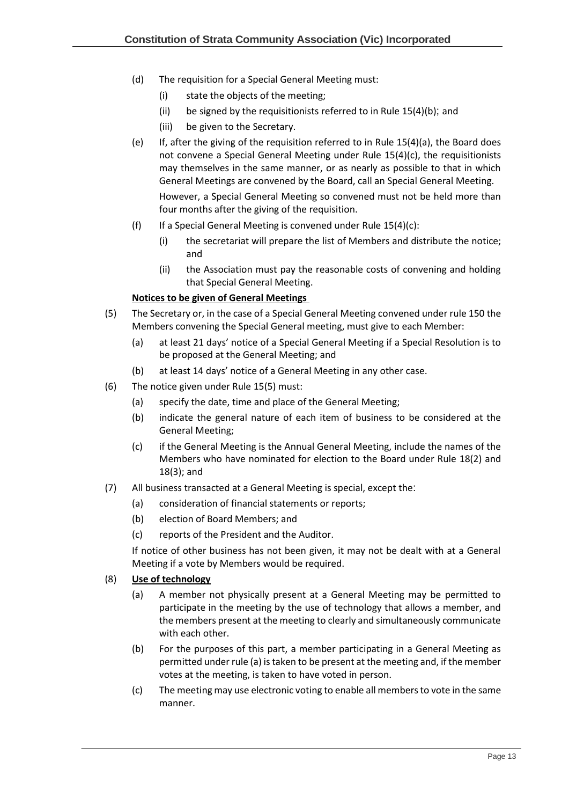- (d) The requisition for a Special General Meeting must:
	- (i) state the objects of the meeting;
	- (ii) be signed by the requisitionists referred to in Rule 15(4[\)\(b\)](#page-12-1); and
	- (iii) be given to the Secretary.
- <span id="page-13-0"></span>(e) If, after the giving of the requisition referred to in Rule  $15(4)(a)$ , the Board does not convene a Special General Meeting under Rule 15(4[\)\(c\),](#page-12-3) the requisitionists may themselves in the same manner, or as nearly as possible to that in which General Meetings are convened by the Board, call an Special General Meeting.

However, a Special General Meeting so convened must not be held more than four months after the giving of the requisition.

- (f) If a Special General Meeting is convened under Rule  $15(4)(c)$ :
	- (i) the secretariat will prepare the list of Members and distribute the notice; and
	- (ii) the Association must pay the reasonable costs of convening and holding that Special General Meeting.

#### **Notices to be given of General Meetings**

- <span id="page-13-1"></span>(5) The Secretary or, in the case of a Special General Meeting convened under rule [150](#page-13-0) the Members convening the Special General meeting, must give to each Member:
	- (a) at least 21 days' notice of a Special General Meeting if a Special Resolution is to be proposed at the General Meeting; and
	- (b) at least 14 days' notice of a General Meeting in any other case.
- (6) The notice given under Rule 1[5\(5\)](#page-13-1) must:
	- (a) specify the date, time and place of the General Meeting;
	- (b) indicate the general nature of each item of business to be considered at the General Meeting;
	- (c) if the General Meeting is the Annual General Meeting, include the names of the Members who have nominated for election to the Board under Rule [18\(2\)](#page-17-1) and [18\(3\);](#page-17-0) and
- (7) All business transacted at a General Meeting is special, except the:
	- (a) consideration of financial statements or reports;
	- (b) election of Board Members; and
	- (c) reports of the President and the Auditor.

If notice of other business has not been given, it may not be dealt with at a General Meeting if a vote by Members would be required.

#### <span id="page-13-2"></span>(8) **Use of technology**

- (a) A member not physically present at a General Meeting may be permitted to participate in the meeting by the use of technology that allows a member, and the members present at the meeting to clearly and simultaneously communicate with each other.
- (b) For the purposes of this part, a member participating in a General Meeting as permitted under rul[e \(a\)](#page-13-2) is taken to be present at the meeting and, if the member votes at the meeting, is taken to have voted in person.
- (c) The meeting may use electronic voting to enable all members to vote in the same manner.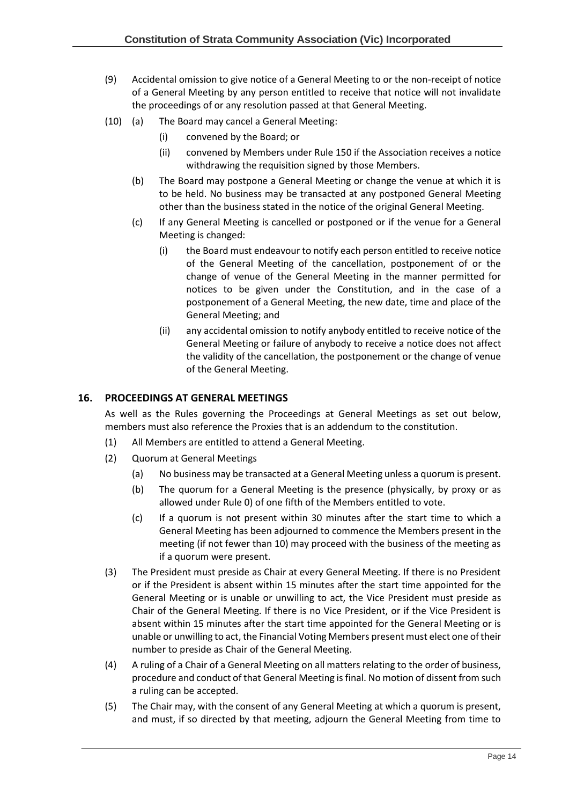- (9) Accidental omission to give notice of a General Meeting to or the non-receipt of notice of a General Meeting by any person entitled to receive that notice will not invalidate the proceedings of or any resolution passed at that General Meeting.
- (10) (a) The Board may cancel a General Meeting:
	- (i) convened by the Board; or
	- (ii) convened by Members under Rule 1[50](#page-12-4) if the Association receives a notice withdrawing the requisition signed by those Members.
	- (b) The Board may postpone a General Meeting or change the venue at which it is to be held. No business may be transacted at any postponed General Meeting other than the business stated in the notice of the original General Meeting.
	- (c) If any General Meeting is cancelled or postponed or if the venue for a General Meeting is changed:
		- (i) the Board must endeavour to notify each person entitled to receive notice of the General Meeting of the cancellation, postponement of or the change of venue of the General Meeting in the manner permitted for notices to be given under the Constitution, and in the case of a postponement of a General Meeting, the new date, time and place of the General Meeting; and
		- (ii) any accidental omission to notify anybody entitled to receive notice of the General Meeting or failure of anybody to receive a notice does not affect the validity of the cancellation, the postponement or the change of venue of the General Meeting.

# <span id="page-14-0"></span>**16. PROCEEDINGS AT GENERAL MEETINGS**

As well as the Rules governing the Proceedings at General Meetings as set out below, members must also reference the Proxies that is an addendum to the constitution.

- (1) All Members are entitled to attend a General Meeting.
- <span id="page-14-1"></span>(2) Quorum at General Meetings
	- (a) No business may be transacted at a General Meeting unless a quorum is present.
	- (b) The quorum for a General Meeting is the presence (physically, by proxy or as allowed under Rule [0\)](#page-15-0) of one fifth of the Members entitled to vote.
	- (c) If a quorum is not present within 30 minutes after the start time to which a General Meeting has been adjourned to commence the Members present in the meeting (if not fewer than 10) may proceed with the business of the meeting as if a quorum were present.
- (3) The President must preside as Chair at every General Meeting. If there is no President or if the President is absent within 15 minutes after the start time appointed for the General Meeting or is unable or unwilling to act, the Vice President must preside as Chair of the General Meeting. If there is no Vice President, or if the Vice President is absent within 15 minutes after the start time appointed for the General Meeting or is unable or unwilling to act, the Financial Voting Members present must elect one of their number to preside as Chair of the General Meeting.
- (4) A ruling of a Chair of a General Meeting on all matters relating to the order of business, procedure and conduct of that General Meeting is final. No motion of dissent from such a ruling can be accepted.
- (5) The Chair may, with the consent of any General Meeting at which a quorum is present, and must, if so directed by that meeting, adjourn the General Meeting from time to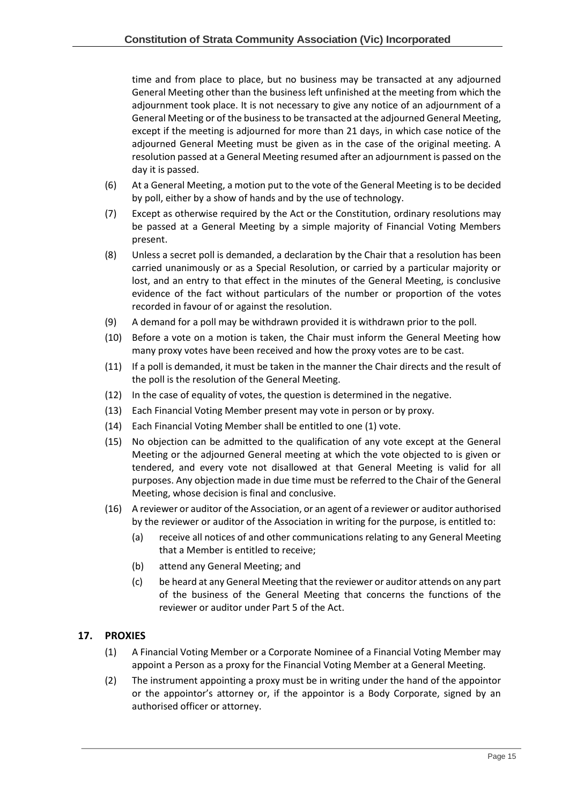time and from place to place, but no business may be transacted at any adjourned General Meeting other than the business left unfinished at the meeting from which the adjournment took place. It is not necessary to give any notice of an adjournment of a General Meeting or of the business to be transacted at the adjourned General Meeting, except if the meeting is adjourned for more than 21 days, in which case notice of the adjourned General Meeting must be given as in the case of the original meeting. A resolution passed at a General Meeting resumed after an adjournment is passed on the day it is passed.

- (6) At a General Meeting, a motion put to the vote of the General Meeting is to be decided by poll, either by a show of hands and by the use of technology.
- (7) Except as otherwise required by the Act or the Constitution, ordinary resolutions may be passed at a General Meeting by a simple majority of Financial Voting Members present.
- (8) Unless a secret poll is demanded, a declaration by the Chair that a resolution has been carried unanimously or as a Special Resolution, or carried by a particular majority or lost, and an entry to that effect in the minutes of the General Meeting, is conclusive evidence of the fact without particulars of the number or proportion of the votes recorded in favour of or against the resolution.
- (9) A demand for a poll may be withdrawn provided it is withdrawn prior to the poll.
- (10) Before a vote on a motion is taken, the Chair must inform the General Meeting how many proxy votes have been received and how the proxy votes are to be cast.
- (11) If a poll is demanded, it must be taken in the manner the Chair directs and the result of the poll is the resolution of the General Meeting.
- (12) In the case of equality of votes, the question is determined in the negative.
- (13) Each Financial Voting Member present may vote in person or by proxy.
- (14) Each Financial Voting Member shall be entitled to one (1) vote.
- (15) No objection can be admitted to the qualification of any vote except at the General Meeting or the adjourned General meeting at which the vote objected to is given or tendered, and every vote not disallowed at that General Meeting is valid for all purposes. Any objection made in due time must be referred to the Chair of the General Meeting, whose decision is final and conclusive.
- (16) A reviewer or auditor of the Association, or an agent of a reviewer or auditor authorised by the reviewer or auditor of the Association in writing for the purpose, is entitled to:
	- (a) receive all notices of and other communications relating to any General Meeting that a Member is entitled to receive;
	- (b) attend any General Meeting; and
	- (c) be heard at any General Meeting that the reviewer or auditor attends on any part of the business of the General Meeting that concerns the functions of the reviewer or auditor under Part 5 of the Act.

# <span id="page-15-0"></span>**17. PROXIES**

- (1) A Financial Voting Member or a Corporate Nominee of a Financial Voting Member may appoint a Person as a proxy for the Financial Voting Member at a General Meeting.
- (2) The instrument appointing a proxy must be in writing under the hand of the appointor or the appointor's attorney or, if the appointor is a Body Corporate, signed by an authorised officer or attorney.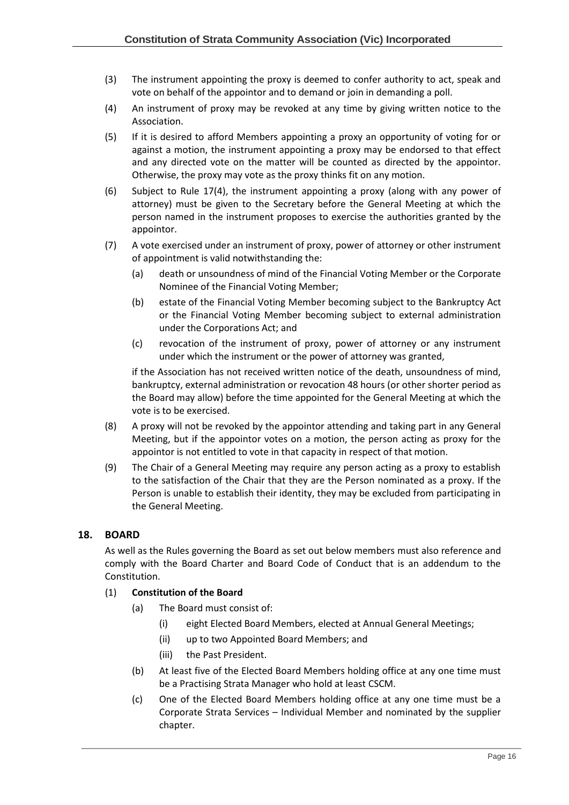- (3) The instrument appointing the proxy is deemed to confer authority to act, speak and vote on behalf of the appointor and to demand or join in demanding a poll.
- <span id="page-16-1"></span>(4) An instrument of proxy may be revoked at any time by giving written notice to the Association.
- (5) If it is desired to afford Members appointing a proxy an opportunity of voting for or against a motion, the instrument appointing a proxy may be endorsed to that effect and any directed vote on the matter will be counted as directed by the appointor. Otherwise, the proxy may vote as the proxy thinks fit on any motion.
- (6) Subject to Rule 1[7\(4\),](#page-16-1) the instrument appointing a proxy (along with any power of attorney) must be given to the Secretary before the General Meeting at which the person named in the instrument proposes to exercise the authorities granted by the appointor.
- (7) A vote exercised under an instrument of proxy, power of attorney or other instrument of appointment is valid notwithstanding the:
	- (a) death or unsoundness of mind of the Financial Voting Member or the Corporate Nominee of the Financial Voting Member;
	- (b) estate of the Financial Voting Member becoming subject to the Bankruptcy Act or the Financial Voting Member becoming subject to external administration under the Corporations Act; and
	- (c) revocation of the instrument of proxy, power of attorney or any instrument under which the instrument or the power of attorney was granted,

if the Association has not received written notice of the death, unsoundness of mind, bankruptcy, external administration or revocation 48 hours (or other shorter period as the Board may allow) before the time appointed for the General Meeting at which the vote is to be exercised.

- (8) A proxy will not be revoked by the appointor attending and taking part in any General Meeting, but if the appointor votes on a motion, the person acting as proxy for the appointor is not entitled to vote in that capacity in respect of that motion.
- (9) The Chair of a General Meeting may require any person acting as a proxy to establish to the satisfaction of the Chair that they are the Person nominated as a proxy. If the Person is unable to establish their identity, they may be excluded from participating in the General Meeting.

# <span id="page-16-0"></span>**18. BOARD**

As well as the Rules governing the Board as set out below members must also reference and comply with the Board Charter and Board Code of Conduct that is an addendum to the Constitution.

## (1) **Constitution of the Board**

- (a) The Board must consist of:
	- (i) eight Elected Board Members, elected at Annual General Meetings;
	- (ii) up to two Appointed Board Members; and
	- (iii) the Past President.
- (b) At least five of the Elected Board Members holding office at any one time must be a Practising Strata Manager who hold at least CSCM.
- (c) One of the Elected Board Members holding office at any one time must be a Corporate Strata Services – Individual Member and nominated by the supplier chapter.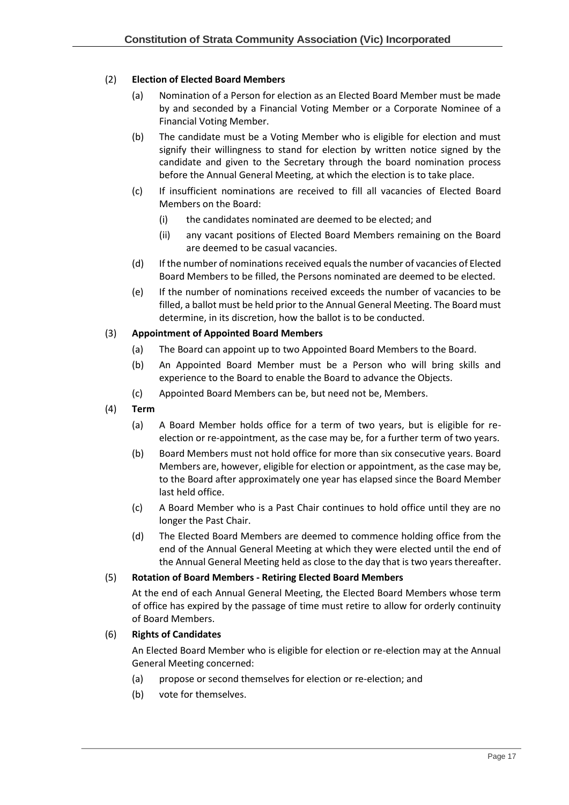# <span id="page-17-1"></span>(2) **Election of Elected Board Members**

- (a) Nomination of a Person for election as an Elected Board Member must be made by and seconded by a Financial Voting Member or a Corporate Nominee of a Financial Voting Member.
- (b) The candidate must be a Voting Member who is eligible for election and must signify their willingness to stand for election by written notice signed by the candidate and given to the Secretary through the board nomination process before the Annual General Meeting, at which the election is to take place.
- (c) If insufficient nominations are received to fill all vacancies of Elected Board Members on the Board:
	- (i) the candidates nominated are deemed to be elected; and
	- (ii) any vacant positions of Elected Board Members remaining on the Board are deemed to be casual vacancies.
- (d) If the number of nominations received equals the number of vacancies of Elected Board Members to be filled, the Persons nominated are deemed to be elected.
- (e) If the number of nominations received exceeds the number of vacancies to be filled, a ballot must be held prior to the Annual General Meeting. The Board must determine, in its discretion, how the ballot is to be conducted.

# <span id="page-17-0"></span>(3) **Appointment of Appointed Board Members**

- (a) The Board can appoint up to two Appointed Board Members to the Board.
- (b) An Appointed Board Member must be a Person who will bring skills and experience to the Board to enable the Board to advance the Objects.
- (c) Appointed Board Members can be, but need not be, Members.
- (4) **Term**
	- (a) A Board Member holds office for a term of two years, but is eligible for reelection or re-appointment, as the case may be, for a further term of two years.
	- (b) Board Members must not hold office for more than six consecutive years. Board Members are, however, eligible for election or appointment, as the case may be, to the Board after approximately one year has elapsed since the Board Member last held office.
	- (c) A Board Member who is a Past Chair continues to hold office until they are no longer the Past Chair.
	- (d) The Elected Board Members are deemed to commence holding office from the end of the Annual General Meeting at which they were elected until the end of the Annual General Meeting held as close to the day that is two years thereafter.

#### (5) **Rotation of Board Members - Retiring Elected Board Members**

At the end of each Annual General Meeting, the Elected Board Members whose term of office has expired by the passage of time must retire to allow for orderly continuity of Board Members.

#### (6) **Rights of Candidates**

An Elected Board Member who is eligible for election or re-election may at the Annual General Meeting concerned:

- (a) propose or second themselves for election or re-election; and
- (b) vote for themselves.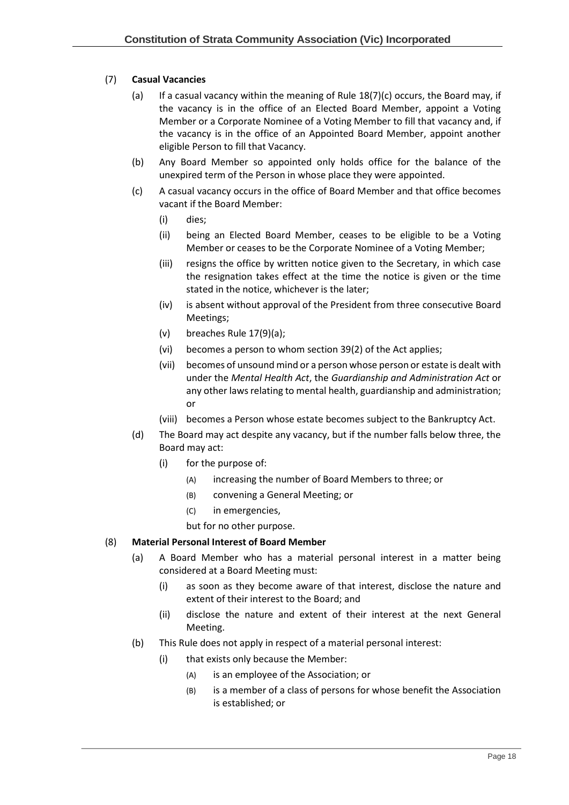# (7) **Casual Vacancies**

- (a) If a casual vacancy within the meaning of Rule  $18(7)(c)$  $18(7)(c)$  occurs, the Board may, if the vacancy is in the office of an Elected Board Member, appoint a Voting Member or a Corporate Nominee of a Voting Member to fill that vacancy and, if the vacancy is in the office of an Appointed Board Member, appoint another eligible Person to fill that Vacancy.
- (b) Any Board Member so appointed only holds office for the balance of the unexpired term of the Person in whose place they were appointed.
- <span id="page-18-0"></span>(c) A casual vacancy occurs in the office of Board Member and that office becomes vacant if the Board Member:
	- (i) dies;
	- (ii) being an Elected Board Member, ceases to be eligible to be a Voting Member or ceases to be the Corporate Nominee of a Voting Member;
	- (iii) resigns the office by written notice given to the Secretary, in which case the resignation takes effect at the time the notice is given or the time stated in the notice, whichever is the later;
	- (iv) is absent without approval of the President from three consecutive Board Meetings;
	- (v) breaches Rule 1[7\(9\)\(a\);](#page-19-1)
	- (vi) becomes a person to whom section 39(2) of the Act applies;
	- (vii) becomes of unsound mind or a person whose person or estate is dealt with under the *Mental Health Act*, the *Guardianship and Administration Act* or any other laws relating to mental health, guardianship and administration; or
	- (viii) becomes a Person whose estate becomes subject to the Bankruptcy Act.
- (d) The Board may act despite any vacancy, but if the number falls below three, the Board may act:
	- (i) for the purpose of:
		- (A) increasing the number of Board Members to three; or
		- (B) convening a General Meeting; or
		- (C) in emergencies,
		- but for no other purpose.

#### <span id="page-18-1"></span>(8) **Material Personal Interest of Board Member**

- (a) A Board Member who has a material personal interest in a matter being considered at a Board Meeting must:
	- (i) as soon as they become aware of that interest, disclose the nature and extent of their interest to the Board; and
	- (ii) disclose the nature and extent of their interest at the next General Meeting.
- (b) This Rule does not apply in respect of a material personal interest:
	- (i) that exists only because the Member:
		- (A) is an employee of the Association; or
		- (B) is a member of a class of persons for whose benefit the Association is established; or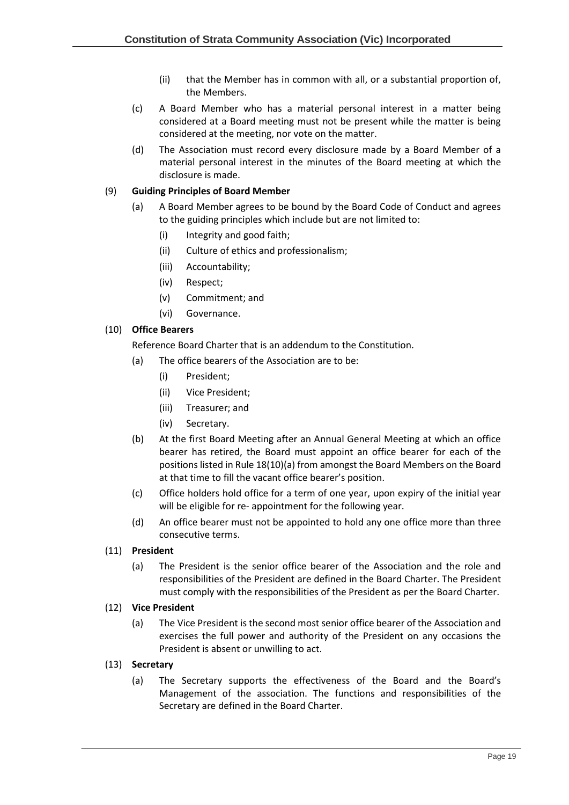- (ii) that the Member has in common with all, or a substantial proportion of, the Members.
- (c) A Board Member who has a material personal interest in a matter being considered at a Board meeting must not be present while the matter is being considered at the meeting, nor vote on the matter.
- (d) The Association must record every disclosure made by a Board Member of a material personal interest in the minutes of the Board meeting at which the disclosure is made.

# <span id="page-19-2"></span><span id="page-19-1"></span>(9) **Guiding Principles of Board Member**

- (a) A Board Member agrees to be bound by the Board Code of Conduct and agrees to the guiding principles which include but are not limited to:
	- (i) Integrity and good faith;
	- (ii) Culture of ethics and professionalism;
	- (iii) Accountability;
	- (iv) Respect;
	- (v) Commitment; and
	- (vi) Governance.

# (10) **[Office Bearers](#page-19-2)**

<span id="page-19-0"></span>Reference Board Charter that is an addendum to the Constitution.

- (a) The office bearers of the Association are to be:
	- (i) President;
	- (ii) Vice President;
	- (iii) Treasurer; and
	- (iv) Secretary.
- (b) At the first Board Meeting after an Annual General Meeting at which an office bearer has retired, the Board must appoint an office bearer for each of the positions listed in Rule 18(10)(a) from amongst the Board Members on the Board at that time to fill the vacant office bearer's position.
- (c) Office holders hold office for a term of one year, upon expiry of the initial year will be eligible for re- appointment for the following year.
- (d) An office bearer must not be appointed to hold any one office more than three consecutive terms.

# (11) **President**

(a) The President is the senior office bearer of the Association and the role and responsibilities of the President are defined in the Board Charter. The President must comply with the responsibilities of the President as per the Board Charter.

# (12) **Vice President**

(a) The Vice President is the second most senior office bearer of the Association and exercises the full power and authority of the President on any occasions the President is absent or unwilling to act.

# (13) **Secretary**

(a) The Secretary supports the effectiveness of the Board and the Board's Management of the association. The functions and responsibilities of the Secretary are defined in the Board Charter.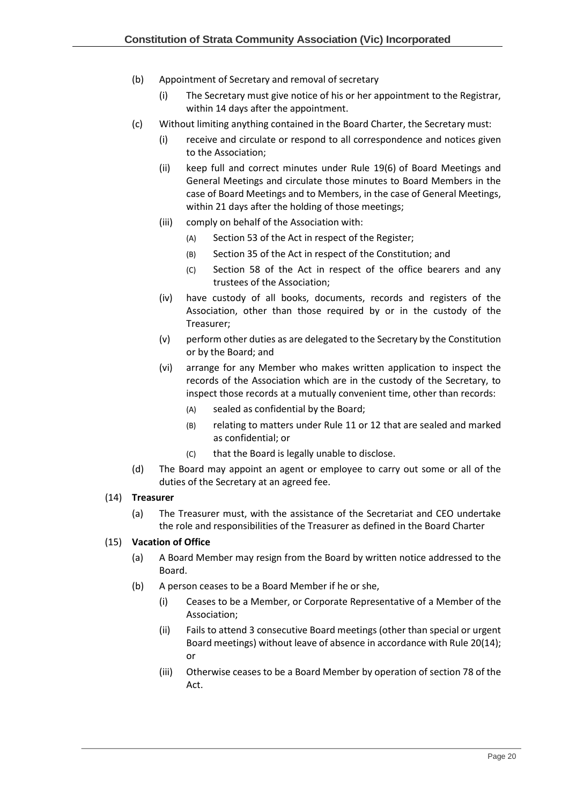- (b) Appointment of Secretary and removal of secretary
	- (i) The Secretary must give notice of his or her appointment to the Registrar, within 14 days after the appointment.
- (c) Without limiting anything contained in the Board Charter, the Secretary must:
	- (i) receive and circulate or respond to all correspondence and notices given to the Association;
	- (ii) keep full and correct minutes under Rule [19\(6\)](#page-21-0) of Board Meetings and General Meetings and circulate those minutes to Board Members in the case of Board Meetings and to Members, in the case of General Meetings, within 21 days after the holding of those meetings;
	- (iii) comply on behalf of the Association with:
		- (A) Section 53 of the Act in respect of the Register;
		- (B) Section 35 of the Act in respect of the Constitution; and
		- (C) Section 58 of the Act in respect of the office bearers and any trustees of the Association;
	- (iv) have custody of all books, documents, records and registers of the Association, other than those required by or in the custody of the Treasurer;
	- (v) perform other duties as are delegated to the Secretary by the Constitution or by the Board; and
	- (vi) arrange for any Member who makes written application to inspect the records of the Association which are in the custody of the Secretary, to inspect those records at a mutually convenient time, other than records:
		- (A) sealed as confidential by the Board;
		- (B) relating to matters under Rul[e 11](#page-9-1) o[r 12](#page-10-0) that are sealed and marked as confidential; or
		- (C) that the Board is legally unable to disclose.
- (d) The Board may appoint an agent or employee to carry out some or all of the duties of the Secretary at an agreed fee.

#### (14) **Treasurer**

(a) The Treasurer must, with the assistance of the Secretariat and CEO undertake the role and responsibilities of the Treasurer as defined in the Board Charter

#### (15) **Vacation of Office**

- (a) A Board Member may resign from the Board by written notice addressed to the Board.
- <span id="page-20-0"></span>(b) A person ceases to be a Board Member if he or she,
	- (i) Ceases to be a Member, or Corporate Representative of a Member of the Association;
	- (ii) Fails to attend 3 consecutive Board meetings (other than special or urgent Board meetings) without leave of absence in accordance with Rul[e 20\(14\);](#page-23-3) or
	- (iii) Otherwise ceases to be a Board Member by operation of section 78 of the Act.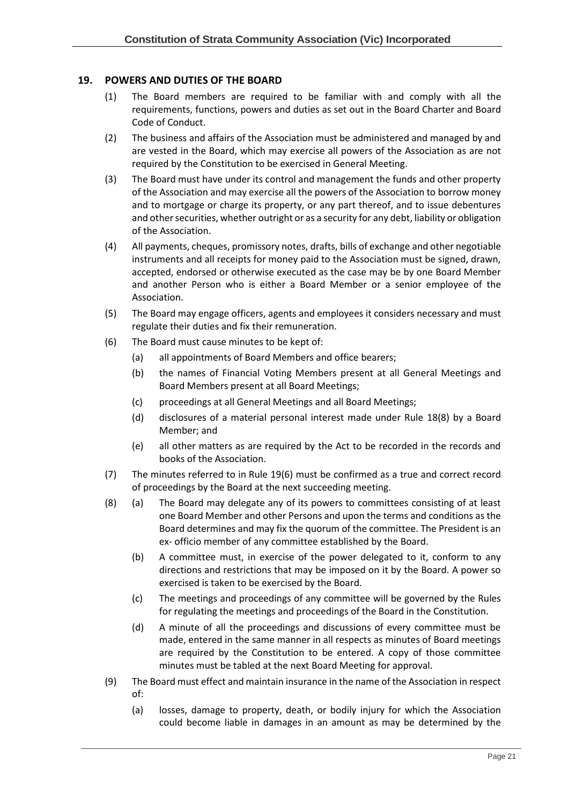# **19. POWERS AND DUTIES OF THE BOARD**

- (1) The Board members are required to be familiar with and comply with all the requirements, functions, powers and duties as set out in the Board Charter and Board Code of Conduct.
- (2) The business and affairs of the Association must be administered and managed by and are vested in the Board, which may exercise all powers of the Association as are not required by the Constitution to be exercised in General Meeting.
- (3) The Board must have under its control and management the funds and other property of the Association and may exercise all the powers of the Association to borrow money and to mortgage or charge its property, or any part thereof, and to issue debentures and other securities, whether outright or as a security for any debt, liability or obligation of the Association.
- (4) All payments, cheques, promissory notes, drafts, bills of exchange and other negotiable instruments and all receipts for money paid to the Association must be signed, drawn, accepted, endorsed or otherwise executed as the case may be by one Board Member and another Person who is either a Board Member or a senior employee of the Association.
- (5) The Board may engage officers, agents and employees it considers necessary and must regulate their duties and fix their remuneration.
- <span id="page-21-0"></span>(6) The Board must cause minutes to be kept of:
	- (a) all appointments of Board Members and office bearers;
	- (b) the names of Financial Voting Members present at all General Meetings and Board Members present at all Board Meetings;
	- (c) proceedings at all General Meetings and all Board Meetings;
	- (d) disclosures of a material personal interest made under Rule [18\(8\)](#page-18-1) by a Board Member; and
	- (e) all other matters as are required by the Act to be recorded in the records and books of the Association.
- (7) The minutes referred to in Rule 1[9\(6\)](#page-21-0) must be confirmed as a true and correct record of proceedings by the Board at the next succeeding meeting.
- (8) (a) The Board may delegate any of its powers to committees consisting of at least one Board Member and other Persons and upon the terms and conditions as the Board determines and may fix the quorum of the committee. The President is an ex- officio member of any committee established by the Board.
	- (b) A committee must, in exercise of the power delegated to it, conform to any directions and restrictions that may be imposed on it by the Board. A power so exercised is taken to be exercised by the Board.
	- (c) The meetings and proceedings of any committee will be governed by the Rules for regulating the meetings and proceedings of the Board in the Constitution.
	- (d) A minute of all the proceedings and discussions of every committee must be made, entered in the same manner in all respects as minutes of Board meetings are required by the Constitution to be entered. A copy of those committee minutes must be tabled at the next Board Meeting for approval.
- (9) The Board must effect and maintain insurance in the name of the Association in respect of:
	- (a) losses, damage to property, death, or bodily injury for which the Association could become liable in damages in an amount as may be determined by the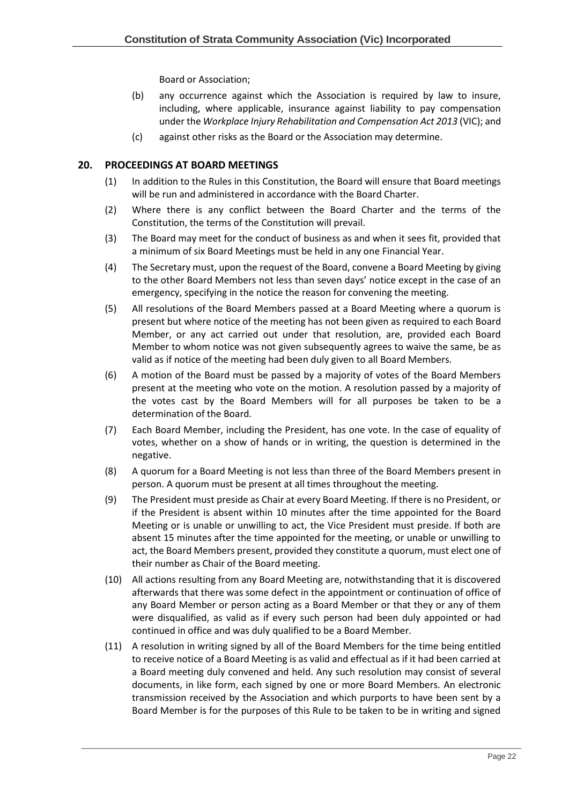Board or Association;

- (b) any occurrence against which the Association is required by law to insure, including, where applicable, insurance against liability to pay compensation under the *Workplace Injury Rehabilitation and Compensation Act 2013* (VIC); and
- (c) against other risks as the Board or the Association may determine.

# <span id="page-22-1"></span><span id="page-22-0"></span>**20. PROCEEDINGS AT BOARD MEETINGS**

- (1) In addition to the Rules in this Constitution, the Board will ensure that Board meetings will be run and administered in accordance with the Board Charter.
- (2) Where there is any conflict between the Board Charter and the terms of the Constitution, the terms of the Constitution will prevail.
- (3) The Board may meet for the conduct of business as and when it sees fit, provided that a minimum of six Board Meetings must be held in any one Financial Year.
- (4) The Secretary must, upon the request of the Board, convene a Board Meeting by giving to the other Board Members not less than seven days' notice except in the case of an emergency, specifying in the notice the reason for convening the meeting.
- (5) All resolutions of the Board Members passed at a Board Meeting where a quorum is present but where notice of the meeting has not been given as required to each Board Member, or any act carried out under that resolution, are, provided each Board Member to whom notice was not given subsequently agrees to waive the same, be as valid as if notice of the meeting had been duly given to all Board Members.
- (6) A motion of the Board must be passed by a majority of votes of the Board Members present at the meeting who vote on the motion. A resolution passed by a majority of the votes cast by the Board Members will for all purposes be taken to be a determination of the Board.
- (7) Each Board Member, including the President, has one vote. In the case of equality of votes, whether on a show of hands or in writing, the question is determined in the negative.
- (8) A quorum for a Board Meeting is not less than three of the Board Members present in person. A quorum must be present at all times throughout the meeting.
- (9) The President must preside as Chair at every Board Meeting. If there is no President, or if the President is absent within 10 minutes after the time appointed for the Board Meeting or is unable or unwilling to act, the Vice President must preside. If both are absent 15 minutes after the time appointed for the meeting, or unable or unwilling to act, the Board Members present, provided they constitute a quorum, must elect one of their number as Chair of the Board meeting.
- (10) All actions resulting from any Board Meeting are, notwithstanding that it is discovered afterwards that there was some defect in the appointment or continuation of office of any Board Member or person acting as a Board Member or that they or any of them were disqualified, as valid as if every such person had been duly appointed or had continued in office and was duly qualified to be a Board Member.
- (11) A resolution in writing signed by all of the Board Members for the time being entitled to receive notice of a Board Meeting is as valid and effectual as if it had been carried at a Board meeting duly convened and held. Any such resolution may consist of several documents, in like form, each signed by one or more Board Members. An electronic transmission received by the Association and which purports to have been sent by a Board Member is for the purposes of this Rule to be taken to be in writing and signed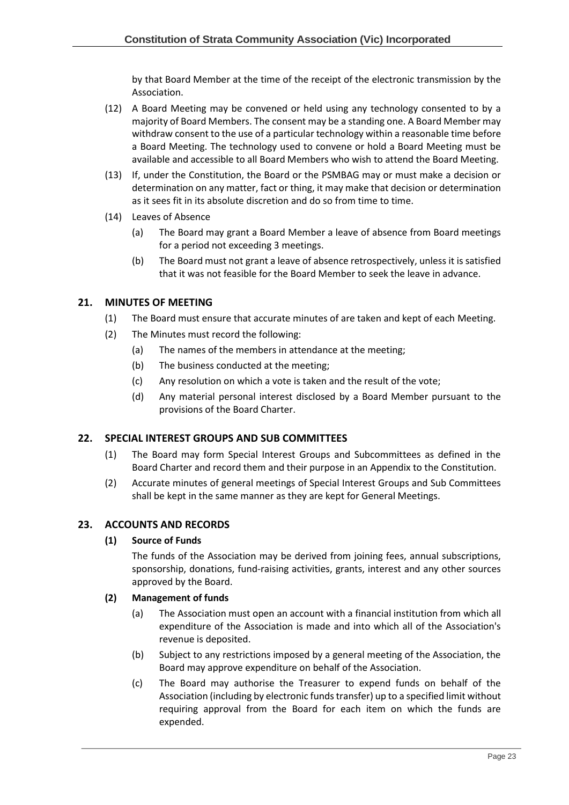by that Board Member at the time of the receipt of the electronic transmission by the Association.

- (12) A Board Meeting may be convened or held using any technology consented to by a majority of Board Members. The consent may be a standing one. A Board Member may withdraw consent to the use of a particular technology within a reasonable time before a Board Meeting. The technology used to convene or hold a Board Meeting must be available and accessible to all Board Members who wish to attend the Board Meeting.
- (13) If, under the Constitution, the Board or the PSMBAG may or must make a decision or determination on any matter, fact or thing, it may make that decision or determination as it sees fit in its absolute discretion and do so from time to time.
- <span id="page-23-3"></span>(14) Leaves of Absence
	- (a) The Board may grant a Board Member a leave of absence from Board meetings for a period not exceeding 3 meetings.
	- (b) The Board must not grant a leave of absence retrospectively, unless it is satisfied that it was not feasible for the Board Member to seek the leave in advance.

# <span id="page-23-0"></span>**21. MINUTES OF MEETING**

- (1) The Board must ensure that accurate minutes of are taken and kept of each Meeting.
- (2) The Minutes must record the following:
	- (a) The names of the members in attendance at the meeting;
	- (b) The business conducted at the meeting;
	- (c) Any resolution on which a vote is taken and the result of the vote;
	- (d) Any material personal interest disclosed by a Board Member pursuant to the provisions of the Board Charter.

# <span id="page-23-1"></span>**22. SPECIAL INTEREST GROUPS AND SUB COMMITTEES**

- (1) The Board may form Special Interest Groups and Subcommittees as defined in the Board Charter and record them and their purpose in an Appendix to the Constitution.
- (2) Accurate minutes of general meetings of Special Interest Groups and Sub Committees shall be kept in the same manner as they are kept for General Meetings.

# <span id="page-23-2"></span>**23. ACCOUNTS AND RECORDS**

#### **(1) Source of Funds**

The funds of the Association may be derived from joining fees, annual subscriptions, sponsorship, donations, fund-raising activities, grants, interest and any other sources approved by the Board.

#### **(2) Management of funds**

- (a) The Association must open an account with a financial institution from which all expenditure of the Association is made and into which all of the Association's revenue is deposited.
- (b) Subject to any restrictions imposed by a general meeting of the Association, the Board may approve expenditure on behalf of the Association.
- (c) The Board may authorise the Treasurer to expend funds on behalf of the Association (including by electronic funds transfer) up to a specified limit without requiring approval from the Board for each item on which the funds are expended.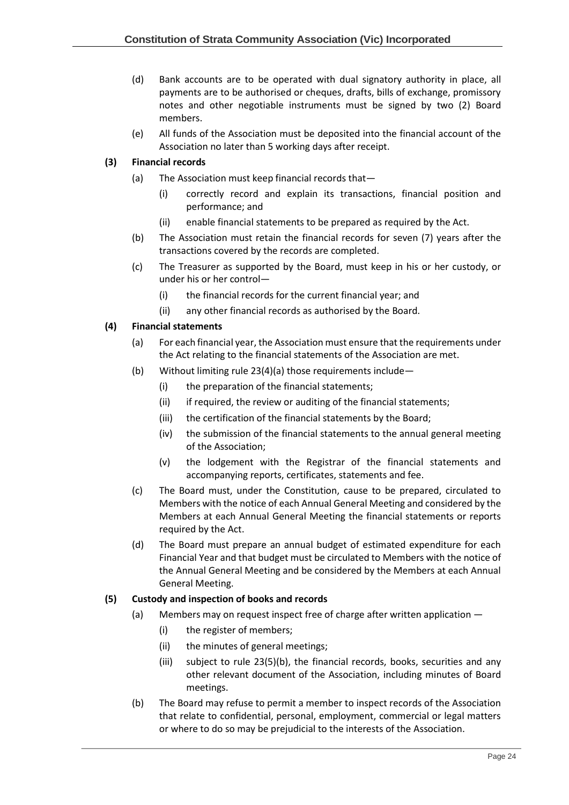- (d) Bank accounts are to be operated with dual signatory authority in place, all payments are to be authorised or cheques, drafts, bills of exchange, promissory notes and other negotiable instruments must be signed by two (2) Board members.
- (e) All funds of the Association must be deposited into the financial account of the Association no later than 5 working days after receipt.

#### **(3) Financial records**

- (a) The Association must keep financial records that—
	- (i) correctly record and explain its transactions, financial position and performance; and
	- (ii) enable financial statements to be prepared as required by the Act.
- (b) The Association must retain the financial records for seven (7) years after the transactions covered by the records are completed.
- (c) The Treasurer as supported by the Board, must keep in his or her custody, or under his or her control—
	- (i) the financial records for the current financial year; and
	- (ii) any other financial records as authorised by the Board.

#### <span id="page-24-0"></span>**(4) Financial statements**

- (a) For each financial year, the Association must ensure that the requirements under the Act relating to the financial statements of the Association are met.
- (b) Without limiting rule 23(4[\)\(a\)](#page-24-0) those requirements include—
	- (i) the preparation of the financial statements;
	- (ii) if required, the review or auditing of the financial statements;
	- (iii) the certification of the financial statements by the Board;
	- (iv) the submission of the financial statements to the annual general meeting of the Association;
	- (v) the lodgement with the Registrar of the financial statements and accompanying reports, certificates, statements and fee.
- (c) The Board must, under the Constitution, cause to be prepared, circulated to Members with the notice of each Annual General Meeting and considered by the Members at each Annual General Meeting the financial statements or reports required by the Act.
- (d) The Board must prepare an annual budget of estimated expenditure for each Financial Year and that budget must be circulated to Members with the notice of the Annual General Meeting and be considered by the Members at each Annual General Meeting.

#### **(5) Custody and inspection of books and records**

- (a) Members may on request inspect free of charge after written application
	- (i) the register of members;
	- (ii) the minutes of general meetings;
	- (iii) subject to rule 23(5[\)\(b\),](#page-24-1) the financial records, books, securities and any other relevant document of the Association, including minutes of Board meetings.
- <span id="page-24-1"></span>(b) The Board may refuse to permit a member to inspect records of the Association that relate to confidential, personal, employment, commercial or legal matters or where to do so may be prejudicial to the interests of the Association.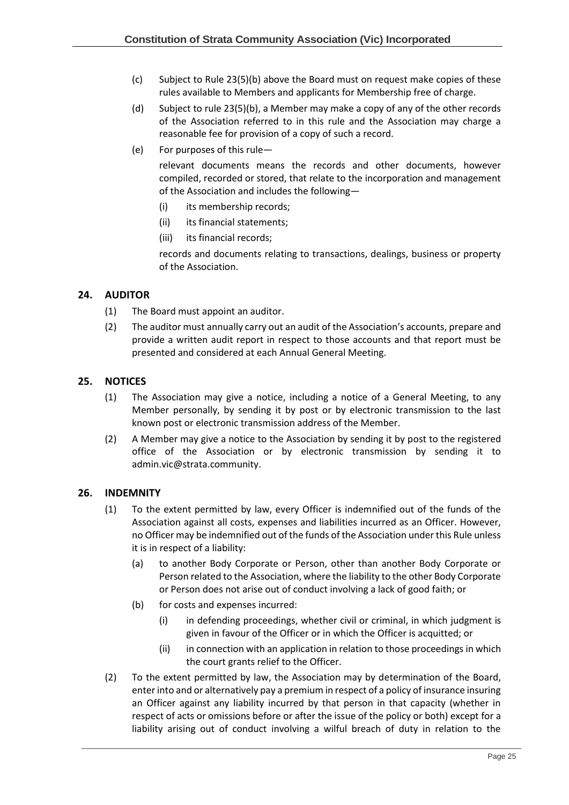- (c) Subject to Rule 23(5[\)\(b\)](#page-24-1) above the Board must on request make copies of these rules available to Members and applicants for Membership free of charge.
- (d) Subject to rule 23(5[\)\(b\),](#page-24-1) a Member may make a copy of any of the other records of the Association referred to in this rule and the Association may charge a reasonable fee for provision of a copy of such a record.
- (e) For purposes of this rule—

relevant documents means the records and other documents, however compiled, recorded or stored, that relate to the incorporation and management of the Association and includes the following—

- (i) its membership records;
- (ii) its financial statements;
- (iii) its financial records;

records and documents relating to transactions, dealings, business or property of the Association.

# <span id="page-25-0"></span>**24. AUDITOR**

- (1) The Board must appoint an auditor.
- (2) The auditor must annually carry out an audit of the Association's accounts, prepare and provide a written audit report in respect to those accounts and that report must be presented and considered at each Annual General Meeting.

# <span id="page-25-1"></span>**25. NOTICES**

- (1) The Association may give a notice, including a notice of a General Meeting, to any Member personally, by sending it by post or by electronic transmission to the last known post or electronic transmission address of the Member.
- (2) A Member may give a notice to the Association by sending it by post to the registered office of the Association or by electronic transmission by sending it to admin.vic@strata.community.

#### <span id="page-25-3"></span><span id="page-25-2"></span>**26. INDEMNITY**

- (1) To the extent permitted by law, every Officer is indemnified out of the funds of the Association against all costs, expenses and liabilities incurred as an Officer. However, no Officer may be indemnified out of the funds of the Association under this Rule unless it is in respect of a liability:
	- (a) to another Body Corporate or Person, other than another Body Corporate or Person related to the Association, where the liability to the other Body Corporate or Person does not arise out of conduct involving a lack of good faith; or
	- (b) for costs and expenses incurred:
		- (i) in defending proceedings, whether civil or criminal, in which judgment is given in favour of the Officer or in which the Officer is acquitted; or
		- (ii) in connection with an application in relation to those proceedings in which the court grants relief to the Officer.
- <span id="page-25-4"></span>(2) To the extent permitted by law, the Association may by determination of the Board, enter into and or alternatively pay a premium in respect of a policy of insurance insuring an Officer against any liability incurred by that person in that capacity (whether in respect of acts or omissions before or after the issue of the policy or both) except for a liability arising out of conduct involving a wilful breach of duty in relation to the